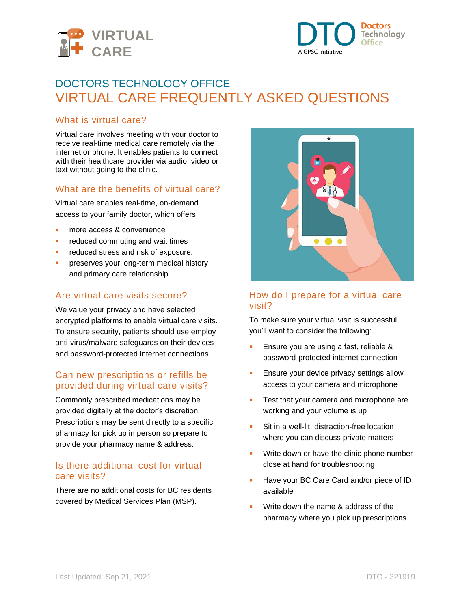



# DOCTORS TECHNOLOGY OFFICE VIRTUAL CARE FREQUENTLY ASKED QUESTIONS

#### What is virtual care?

Virtual care involves meeting with your doctor to receive real-time medical care remotely via the internet or phone. It enables patients to connect with their healthcare provider via audio, video or text without going to the clinic.

# What are the benefits of virtual care?

Virtual care enables real-time, on-demand access to your family doctor, which offers

- more access & convenience
- **E** reduced commuting and wait times
- reduced stress and risk of exposure.
- preserves your long-term medical history and primary care relationship.

#### Are virtual care visits secure?

We value your privacy and have selected encrypted platforms to enable virtual care visits. To ensure security, patients should use employ anti-virus/malware safeguards on their devices and password-protected internet connections.

#### Can new prescriptions or refills be provided during virtual care visits?

Commonly prescribed medications may be provided digitally at the doctor's discretion. Prescriptions may be sent directly to a specific pharmacy for pick up in person so prepare to provide your pharmacy name & address.

#### Is there additional cost for virtual care visits?

There are no additional costs for BC residents covered by Medical Services Plan (MSP).



# How do I prepare for a virtual care visit?

To make sure your virtual visit is successful, you'll want to consider the following:

- Ensure you are using a fast, reliable & password-protected internet connection
- **Ensure your device privacy settings allow** access to your camera and microphone
- Test that your camera and microphone are working and your volume is up
- Sit in a well-lit, distraction-free location where you can discuss private matters
- **■** Write down or have the clinic phone number close at hand for troubleshooting
- Have your BC Care Card and/or piece of ID available
- Write down the name & address of the pharmacy where you pick up prescriptions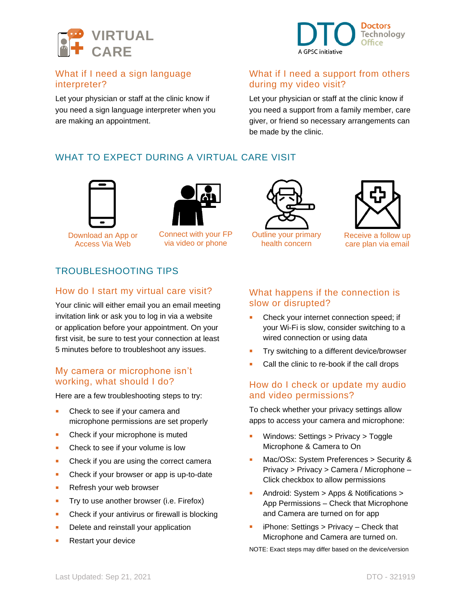



# What if I need a sign language interpreter?

Let your physician or staff at the clinic know if you need a sign language interpreter when you are making an appointment.

#### What if I need a support from others during my video visit?

Let your physician or staff at the clinic know if you need a support from a family member, care giver, or friend so necessary arrangements can be made by the clinic.

# WHAT TO EXPECT DURING A VIRTUAL CARE VISIT



Download an App or Access Via Web



Connect with your FP via video or phone



Outline your primary health concern



Receive a follow up care plan via email

# TROUBLESHOOTING TIPS

#### How do I start my virtual care visit?

Your clinic will either email you an email meeting invitation link or ask you to log in via a website or application before your appointment. On your first visit, be sure to test your connection at least 5 minutes before to troubleshoot any issues.

# My camera or microphone isn't working, what should I do?

Here are a few troubleshooting steps to try:

- Check to see if your camera and microphone permissions are set properly
- Check if your microphone is muted
- Check to see if your volume is low
- Check if you are using the correct camera
- Check if your browser or app is up-to-date
- Refresh your web browser
- **•** Try to use another browser (i.e. Firefox)
- Check if your antivirus or firewall is blocking
- Delete and reinstall your application
- Restart your device

# What happens if the connection is slow or disrupted?

- Check your internet connection speed; if your Wi-Fi is slow, consider switching to a wired connection or using data
- **Try switching to a different device/browser**
- Call the clinic to re-book if the call drops

# How do I check or update my audio and video permissions?

To check whether your privacy settings allow apps to access your camera and microphone:

- Windows: Settings > Privacy > Toggle Microphone & Camera to On
- Mac/OSx: System Preferences > Security & Privacy > Privacy > Camera / Microphone – Click checkbox to allow permissions
- Android: System > Apps & Notifications > App Permissions – Check that Microphone and Camera are turned on for app
- $iPhone:$  Settings  $>$  Privacy Check that Microphone and Camera are turned on.

NOTE: Exact steps may differ based on the device/version